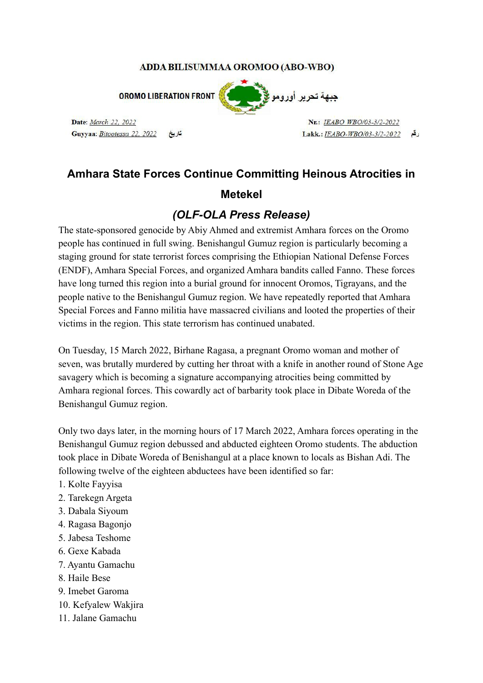#### ADDA BILISUMMAA OROMOO (ABO-WBO)

**OROMO LIBERATION FRONT** 

Date: March 22, 2022 Guyyaa: Bitootessa 22, 2022



Nr.: IEABO WBO/03-3/2-2022 رقع Lakk.: IEABO-WBO/03-3/2-2022

# **Amhara State Forces Continue Committing Heinous Atrocities in**

### **Metekel**

## *(OLF-OLA Press Release)*

The state-sponsored genocide by Abiy Ahmed and extremist Amhara forces on the Oromo people has continued in full swing. Benishangul Gumuz region is particularly becoming a staging ground for state terrorist forces comprising the Ethiopian National Defense Forces (ENDF), Amhara Special Forces, and organized Amhara bandits called Fanno. These forces have long turned this region into a burial ground for innocent Oromos, Tigrayans, and the people native to the Benishangul Gumuz region. We have repeatedly reported that Amhara Special Forces and Fanno militia have massacred civilians and looted the properties of their victims in the region. This state terrorism has continued unabated.

On Tuesday, 15 March 2022, Birhane Ragasa, a pregnant Oromo woman and mother of seven, was brutally murdered by cutting her throat with a knife in another round of Stone Age savagery which is becoming a signature accompanying atrocities being committed by Amhara regional forces. This cowardly act of barbarity took place in Dibate Woreda of the Benishangul Gumuz region.

Only two days later, in the morning hours of 17 March 2022, Amhara forces operating in the Benishangul Gumuz region debussed and abducted eighteen Oromo students. The abduction took place in Dibate Woreda of Benishangul at a place known to locals as Bishan Adi. The following twelve of the eighteen abductees have been identified so far:

- 1. Kolte Fayyisa
- 2. Tarekegn Argeta
- 3. Dabala Siyoum
- 4. Ragasa Bagonjo
- 5. Jabesa Teshome
- 6. Gexe Kabada
- 7. Ayantu Gamachu
- 8. Haile Bese
- 9. Imebet Garoma
- 10. Kefyalew Wakjira
- 11. Jalane Gamachu